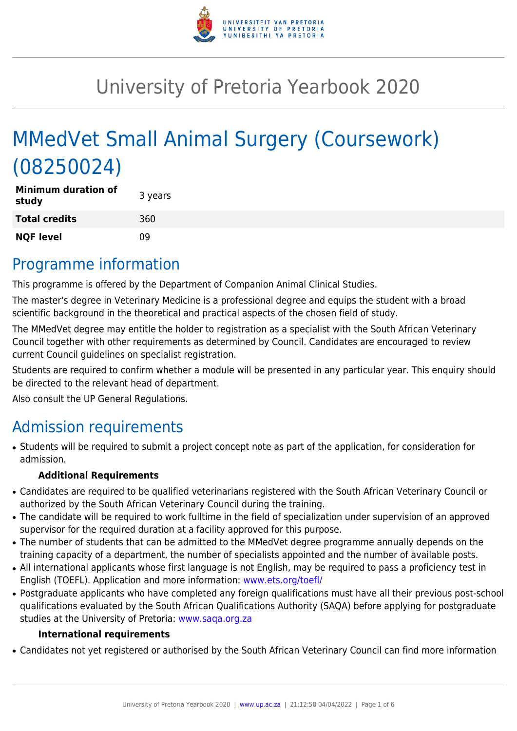

# University of Pretoria Yearbook 2020

# MMedVet Small Animal Surgery (Coursework) (08250024)

| <b>Minimum duration of</b><br>study | 3 years |
|-------------------------------------|---------|
| <b>Total credits</b>                | 360     |
| <b>NQF level</b>                    | 09      |

# Programme information

This programme is offered by the Department of Companion Animal Clinical Studies.

The master's degree in Veterinary Medicine is a professional degree and equips the student with a broad scientific background in the theoretical and practical aspects of the chosen field of study.

The MMedVet degree may entitle the holder to registration as a specialist with the South African Veterinary Council together with other requirements as determined by Council. Candidates are encouraged to review current Council guidelines on specialist registration.

Students are required to confirm whether a module will be presented in any particular year. This enquiry should be directed to the relevant head of department.

Also consult the UP General Regulations.

# Admission requirements

• Students will be required to submit a project concept note as part of the application, for consideration for admission.

### **Additional Requirements**

- Candidates are required to be qualified veterinarians registered with the South African Veterinary Council or authorized by the South African Veterinary Council during the training.
- The candidate will be required to work fulltime in the field of specialization under supervision of an approved supervisor for the required duration at a facility approved for this purpose.
- The number of students that can be admitted to the MMedVet degree programme annually depends on the training capacity of a department, the number of specialists appointed and the number of available posts.
- All international applicants whose first language is not English, may be required to pass a proficiency test in English (TOEFL). Application and more information: [www.ets.org/toefl/](http://www.ets.org/toefl/)
- Postgraduate applicants who have completed any foreign qualifications must have all their previous post-school qualifications evaluated by the South African Qualifications Authority (SAQA) before applying for postgraduate studies at the University of Pretoria: [www.saqa.org.za](http://www.saqa.org.za)

### **International requirements**

• Candidates not yet registered or authorised by the South African Veterinary Council can find more information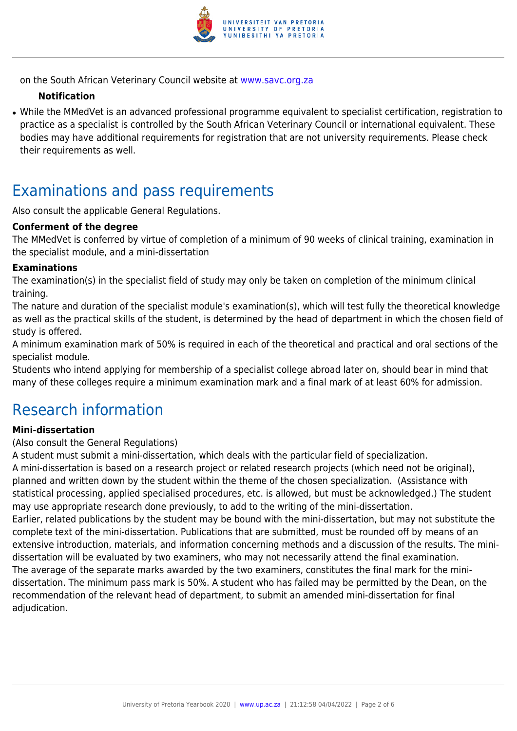

on the South African Veterinary Council website at [www.savc.org.za](http://www.savc.org.za)

### **Notification**

• While the MMedVet is an advanced professional programme equivalent to specialist certification, registration to practice as a specialist is controlled by the South African Veterinary Council or international equivalent. These bodies may have additional requirements for registration that are not university requirements. Please check their requirements as well.

# Examinations and pass requirements

Also consult the applicable General Regulations.

#### **Conferment of the degree**

The MMedVet is conferred by virtue of completion of a minimum of 90 weeks of clinical training, examination in the specialist module, and a mini-dissertation

#### **Examinations**

The examination(s) in the specialist field of study may only be taken on completion of the minimum clinical training.

The nature and duration of the specialist module's examination(s), which will test fully the theoretical knowledge as well as the practical skills of the student, is determined by the head of department in which the chosen field of study is offered.

A minimum examination mark of 50% is required in each of the theoretical and practical and oral sections of the specialist module.

Students who intend applying for membership of a specialist college abroad later on, should bear in mind that many of these colleges require a minimum examination mark and a final mark of at least 60% for admission.

# Research information

### **Mini-dissertation**

(Also consult the General Regulations)

A student must submit a mini-dissertation, which deals with the particular field of specialization.

A mini-dissertation is based on a research project or related research projects (which need not be original), planned and written down by the student within the theme of the chosen specialization. (Assistance with statistical processing, applied specialised procedures, etc. is allowed, but must be acknowledged.) The student may use appropriate research done previously, to add to the writing of the mini-dissertation. Earlier, related publications by the student may be bound with the mini-dissertation, but may not substitute the complete text of the mini-dissertation. Publications that are submitted, must be rounded off by means of an extensive introduction, materials, and information concerning methods and a discussion of the results. The minidissertation will be evaluated by two examiners, who may not necessarily attend the final examination. The average of the separate marks awarded by the two examiners, constitutes the final mark for the minidissertation. The minimum pass mark is 50%. A student who has failed may be permitted by the Dean, on the

recommendation of the relevant head of department, to submit an amended mini-dissertation for final adjudication.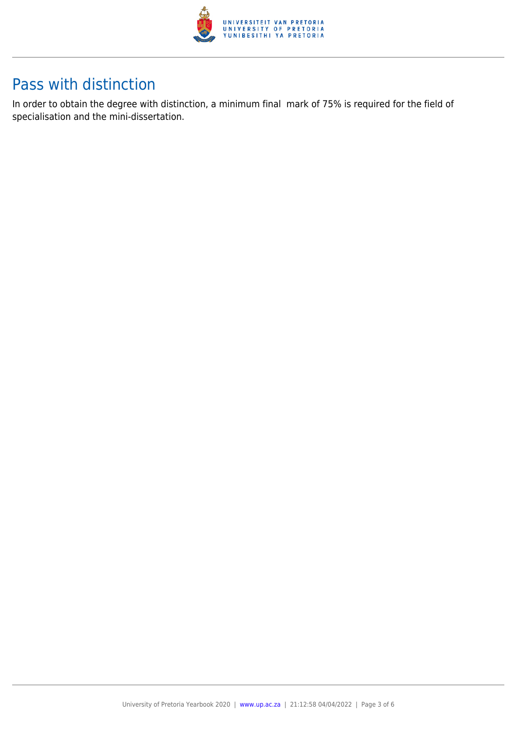

# Pass with distinction

In order to obtain the degree with distinction, a minimum final mark of 75% is required for the field of specialisation and the mini-dissertation.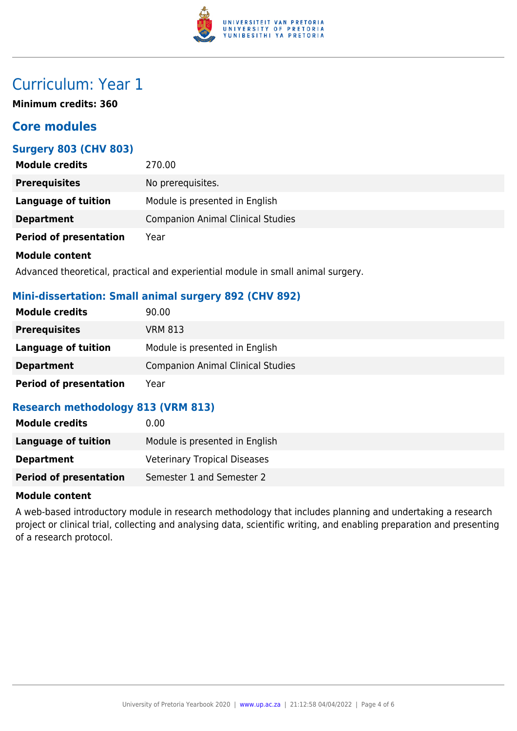

# Curriculum: Year 1

**Minimum credits: 360**

# **Core modules**

### **Surgery 803 (CHV 803)**

| <b>Module credits</b>         | 270.00                                   |
|-------------------------------|------------------------------------------|
| <b>Prerequisites</b>          | No prerequisites.                        |
| <b>Language of tuition</b>    | Module is presented in English           |
| <b>Department</b>             | <b>Companion Animal Clinical Studies</b> |
| <b>Period of presentation</b> | Year                                     |
| <b>Module content</b>         |                                          |

Advanced theoretical, practical and experiential module in small animal surgery.

### **Mini-dissertation: Small animal surgery 892 (CHV 892)**

| <b>Module credits</b>         | 90.00                                    |
|-------------------------------|------------------------------------------|
| <b>Prerequisites</b>          | <b>VRM 813</b>                           |
| <b>Language of tuition</b>    | Module is presented in English           |
| <b>Department</b>             | <b>Companion Animal Clinical Studies</b> |
| <b>Period of presentation</b> | Year                                     |

### **Research methodology 813 (VRM 813)**

| <b>Module credits</b>         | 0.00                                |
|-------------------------------|-------------------------------------|
| Language of tuition           | Module is presented in English      |
| <b>Department</b>             | <b>Veterinary Tropical Diseases</b> |
| <b>Period of presentation</b> | Semester 1 and Semester 2           |

### **Module content**

A web-based introductory module in research methodology that includes planning and undertaking a research project or clinical trial, collecting and analysing data, scientific writing, and enabling preparation and presenting of a research protocol.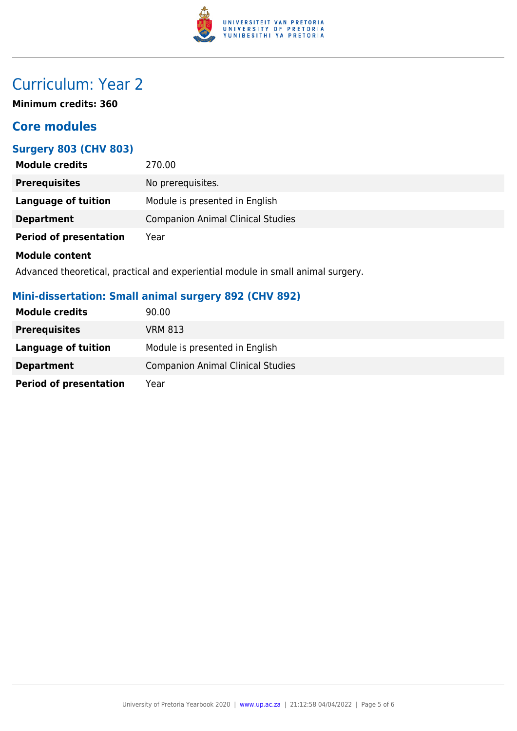

# Curriculum: Year 2

**Minimum credits: 360**

# **Core modules**

# **Surgery 803 (CHV 803)**

| <b>Module credits</b>         | 270.00                                   |
|-------------------------------|------------------------------------------|
| <b>Prerequisites</b>          | No prerequisites.                        |
| Language of tuition           | Module is presented in English           |
| <b>Department</b>             | <b>Companion Animal Clinical Studies</b> |
| <b>Period of presentation</b> | Year                                     |
| <b>Module content</b>         |                                          |

Advanced theoretical, practical and experiential module in small animal surgery.

# **Mini-dissertation: Small animal surgery 892 (CHV 892)**

| <b>Module credits</b>         | 90.00                                    |
|-------------------------------|------------------------------------------|
| <b>Prerequisites</b>          | VRM 813                                  |
| <b>Language of tuition</b>    | Module is presented in English           |
| <b>Department</b>             | <b>Companion Animal Clinical Studies</b> |
| <b>Period of presentation</b> | Year                                     |